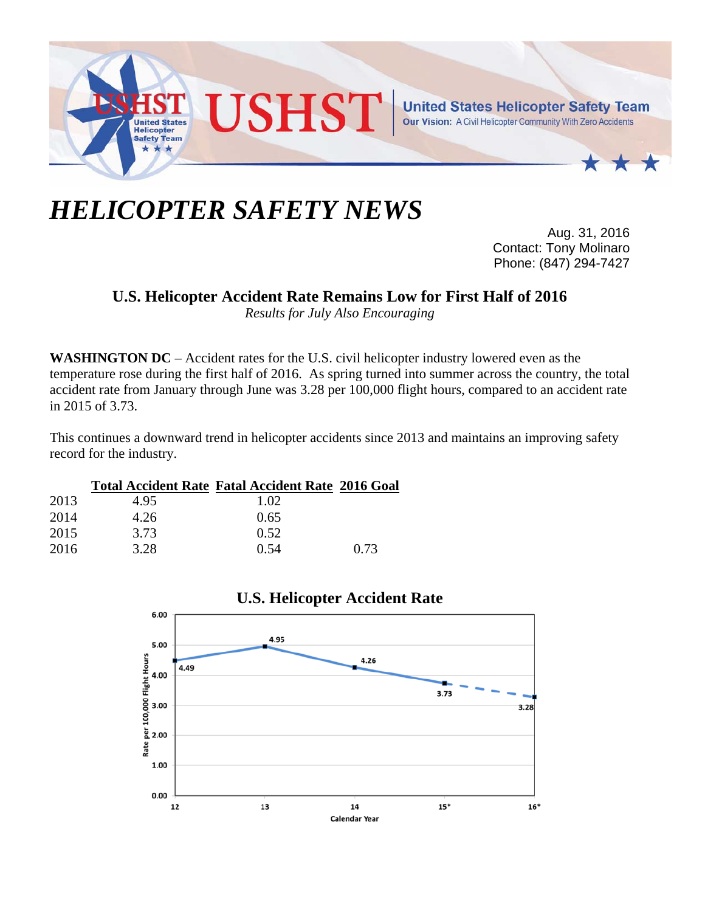

## *HELICOPTER SAFETY NEWS*

Aug. 31, 2016 Contact: Tony Molinaro Phone: (847) 294-7427

## **U.S. Helicopter Accident Rate Remains Low for First Half of 2016**

*Results for July Also Encouraging* 

**WASHINGTON DC** – Accident rates for the U.S. civil helicopter industry lowered even as the temperature rose during the first half of 2016. As spring turned into summer across the country, the total accident rate from January through June was 3.28 per 100,000 flight hours, compared to an accident rate in 2015 of 3.73.

This continues a downward trend in helicopter accidents since 2013 and maintains an improving safety record for the industry.

|      |      | <b>Total Accident Rate Fatal Accident Rate 2016 Goal</b> |      |
|------|------|----------------------------------------------------------|------|
| 2013 | 4.95 | 1.02                                                     |      |
| 2014 | 4.26 | 0.65                                                     |      |
| 2015 | 3.73 | 0.52                                                     |      |
| 2016 | 3.28 | 0.54                                                     | 0.73 |



## **U.S. Helicopter Accident Rate**